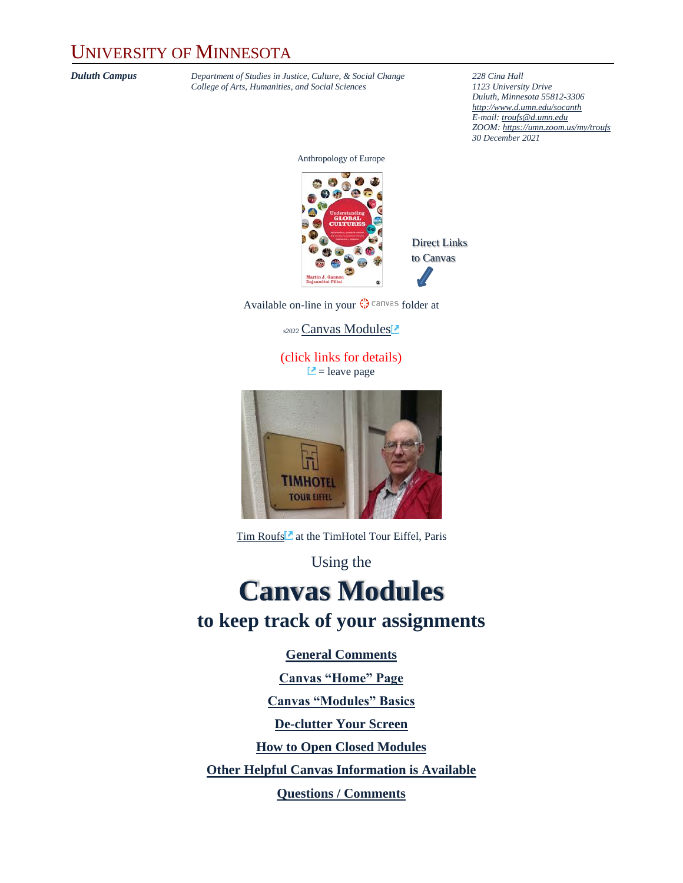### UNIVERSITY OF MINNESOTA

*Duluth Campus Department of Studies in Justice, Culture, & Social Change 228 Cina Hall*<br>College of Arts, Humanities, and Social Sciences **1123** *Dniversity Drive College of Arts, Humanities, and Social Sciences 1123 University Drive*

*Duluth, Minnesota 55812-3306 <http://www.d.umn.edu/socanth> E-mail: [troufs@d.umn.edu](mailto:troufs@d.umn.edu) ZOOM[: https://umn.zoom.us/my/troufs](https://umn.zoom.us/my/troufs) 30 December 2021*

Anthropology of Europe



Direct Links to Canvas

Available on-line in your  $\mathbb{Q}$  canvas folder at

s2022 [Canvas Modules](https://canvas.umn.edu/courses/282731/modules/945780)<sup>®</sup>

(click links for details)  $\Box$  = leave page



[Tim Roufs](http://www.d.umn.edu/~troufs/#title)<sup>2</sup> at the TimHotel Tour Eiffel, Paris

Using the

### **Canvas Modules to keep track of your assignments**

**[General Comments](#page-1-0)**

**[Canvas "Home" Page](#page-1-1) [Canvas "Modules" Basics](#page-1-1) [De-clutter Your Screen](#page-4-0) [How to Open Closed Modules](#page-6-0) [Other Helpful Canvas Information is Available](#page-7-0) [Questions / Comments](#page-7-1)**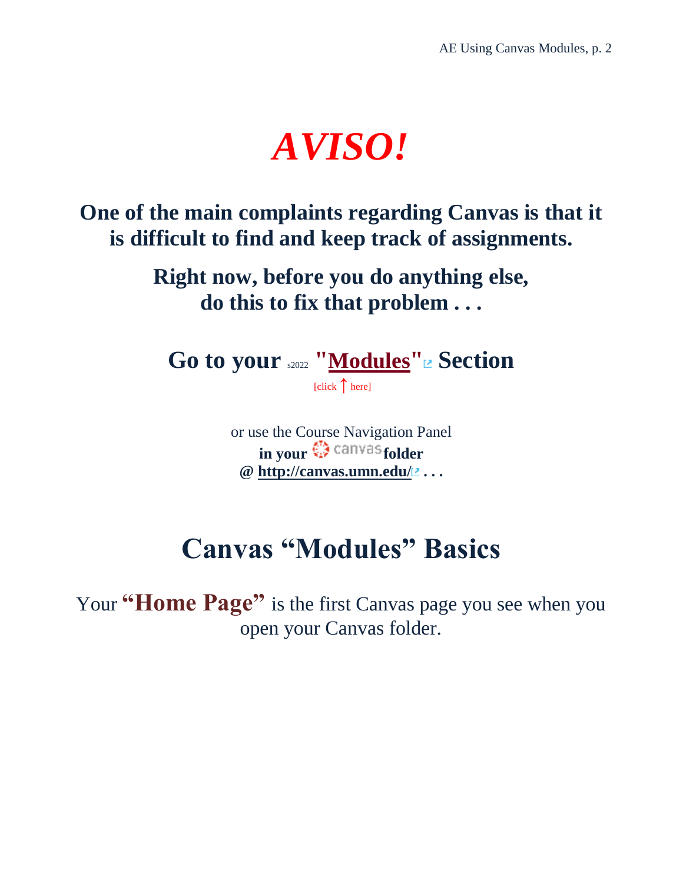# *AVISO!*

<span id="page-1-0"></span>**One of the main complaints regarding Canvas is that it is difficult to find and keep track of assignments.**

> **Right now, before you do anything else, do this to fix that problem . . .**

**Go to your** s2022 **"[Modules](https://canvas.umn.edu/courses/282731/modules/945780)" Section**

[click **↑** here]

or use the Course Navigation Panel **in your**  $\mathbb{Q}$  canvas [f](http://canvas.umn.edu/)older **@<http://canvas.umn.edu/> . . .**

## **Canvas "Modules" Basics**

<span id="page-1-1"></span>Your **"Home Page"** is the first Canvas page you see when you open your Canvas folder.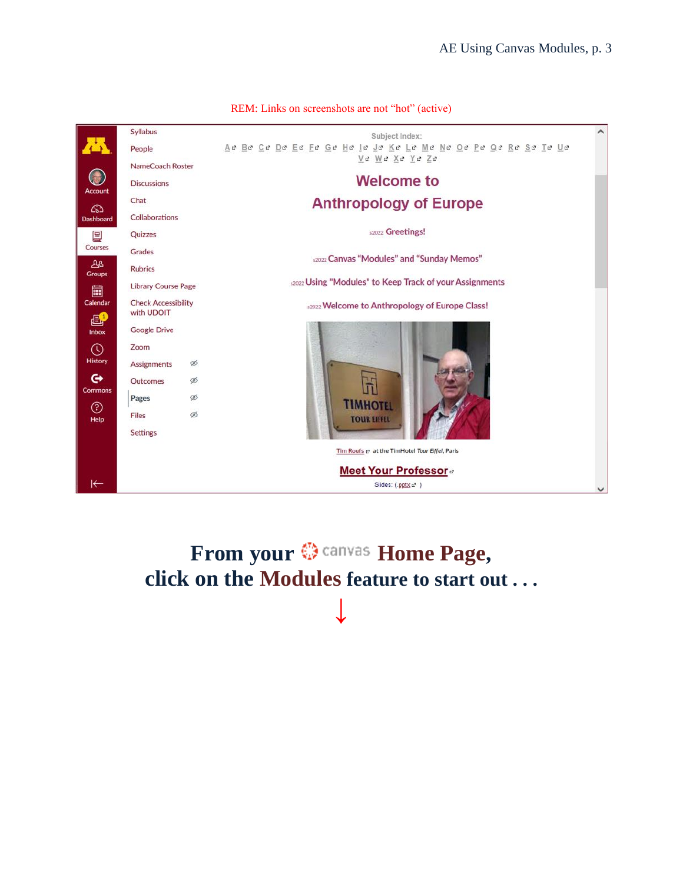

From your  $\bigcirc$  canvas Home Page, **click on the Modules feature to start out . . . ↓**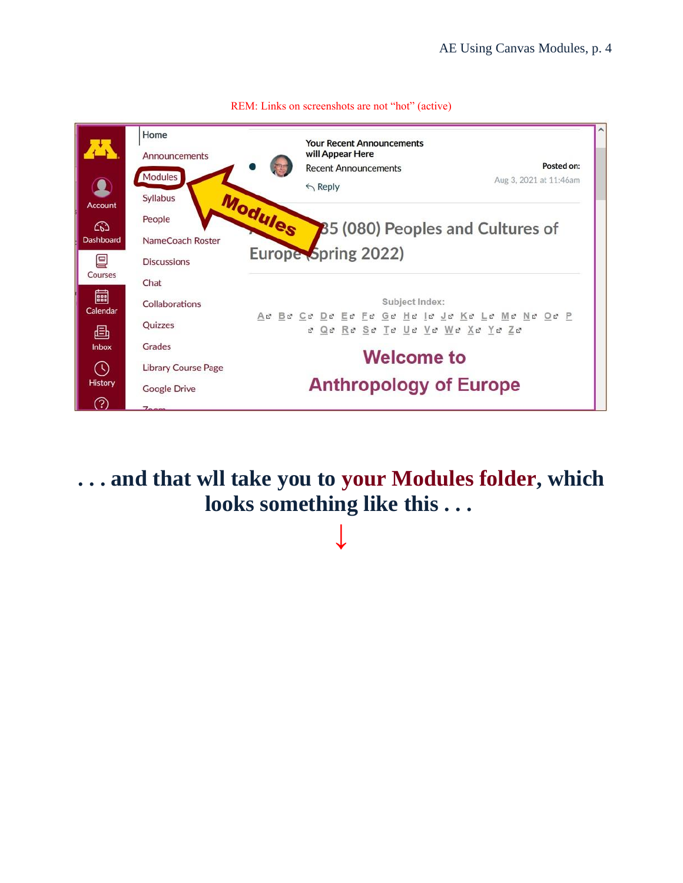

**. . . and that wll take you to your Modules folder, which looks something like this . . .**

**↓**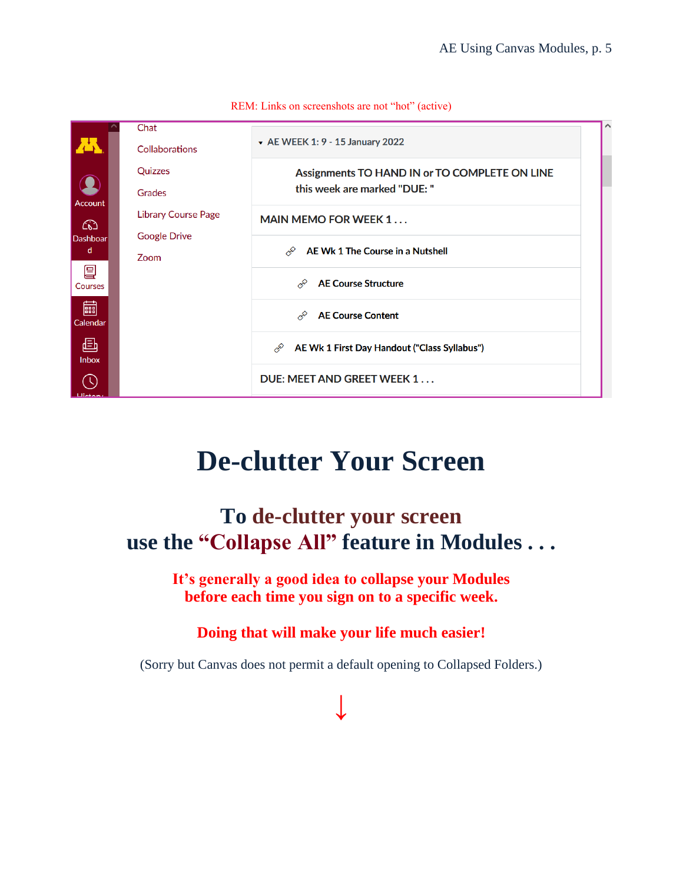

# **De-clutter Your Screen**

### <span id="page-4-0"></span>**To de-clutter your screen use the "Collapse All" feature in Modules . . .**

**It's generally a good idea to collapse your Modules before each time you sign on to a specific week.**

### **Doing that will make your life much easier!**

(Sorry but Canvas does not permit a default opening to Collapsed Folders.)

**↓**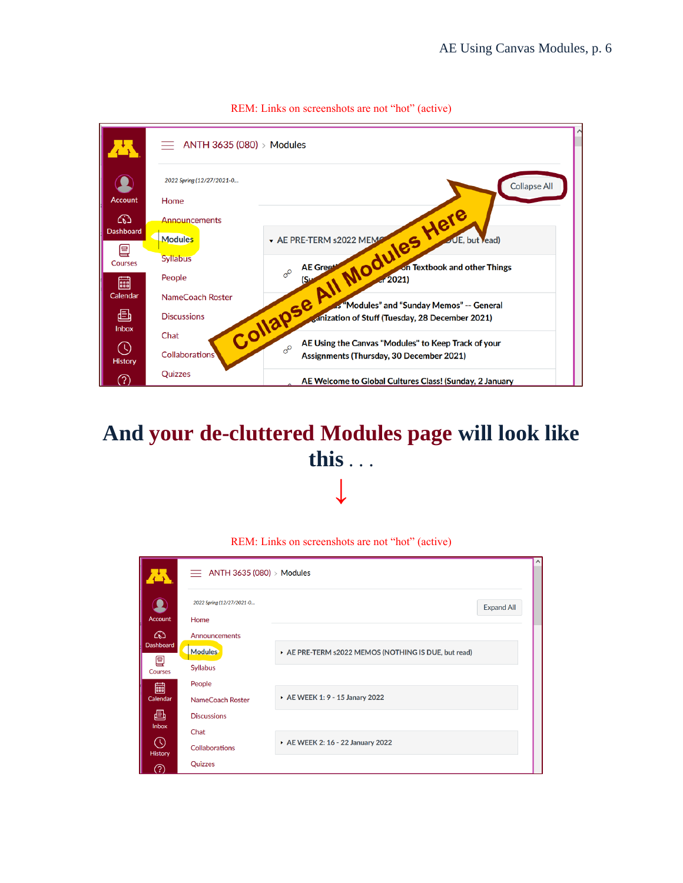

### **And your de-cluttered Modules page will look like this** . . . **↓**

|                                       | $\equiv$ ANTH 3635 (080) > Modules                 |                                                    |                   |  |
|---------------------------------------|----------------------------------------------------|----------------------------------------------------|-------------------|--|
| Account                               | 2022 Spring (12/27/2021-0<br>Home                  |                                                    | <b>Expand All</b> |  |
| ඟ<br><b>Dashboard</b><br>9<br>Courses | Announcements<br><b>Modules</b><br><b>Syllabus</b> | AE PRE-TERM s2022 MEMOS (NOTHING IS DUE, but read) |                   |  |
| 圇<br>Calendar<br>画                    | People<br>NameCoach Roster<br><b>Discussions</b>   | AE WEEK 1: 9 - 15 Janary 2022                      |                   |  |
| Inbox<br>O)<br>History<br>က           | Chat<br><b>Collaborations</b><br>Quizzes           | AE WEEK 2: 16 - 22 January 2022                    |                   |  |

REM: Links on screenshots are not "hot" (active)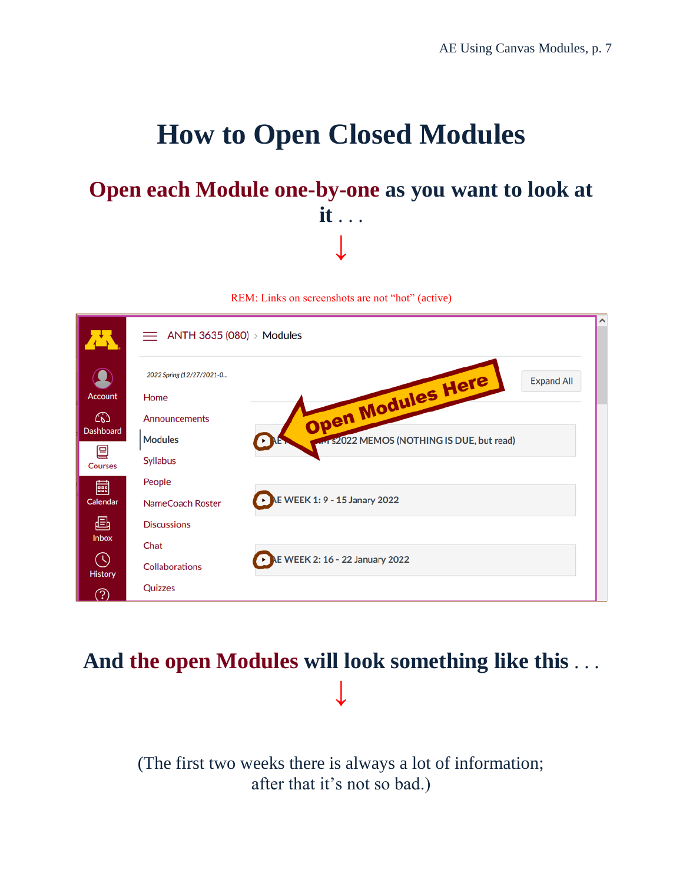# **How to Open Closed Modules**

### <span id="page-6-0"></span>**Open each Module one-by-one as you want to look at it** . . . **↓**

REM: Links on screenshots are not "hot" (active)

|                     | $\equiv$ ANTH 3635 (080) > Modules |                                            | ⌒                 |
|---------------------|------------------------------------|--------------------------------------------|-------------------|
|                     |                                    |                                            |                   |
|                     | 2022 Spring (12/27/2021-0          | Open Modules Here                          | <b>Expand All</b> |
| <b>Account</b>      | Home                               |                                            |                   |
| ඟ                   | Announcements                      |                                            |                   |
| <b>Dashboard</b>    | <b>Modules</b>                     | avi s2022 MEMOS (NOTHING IS DUE, but read) |                   |
| 囯<br><b>Courses</b> | Syllabus                           |                                            |                   |
| 匾                   | People                             |                                            |                   |
| Calendar            | NameCoach Roster                   | LE WEEK 1: 9 - 15 Janary 2022              |                   |
| 画                   | <b>Discussions</b>                 |                                            |                   |
| Inbox               | Chat                               |                                            |                   |
| O)<br>History       | <b>Collaborations</b>              | AE WEEK 2: 16 - 22 January 2022            |                   |
| <u>  ?)</u>         | Quizzes                            |                                            |                   |

### **And the open Modules will look something like this** . . . **↓**

(The first two weeks there is always a lot of information; after that it's not so bad.)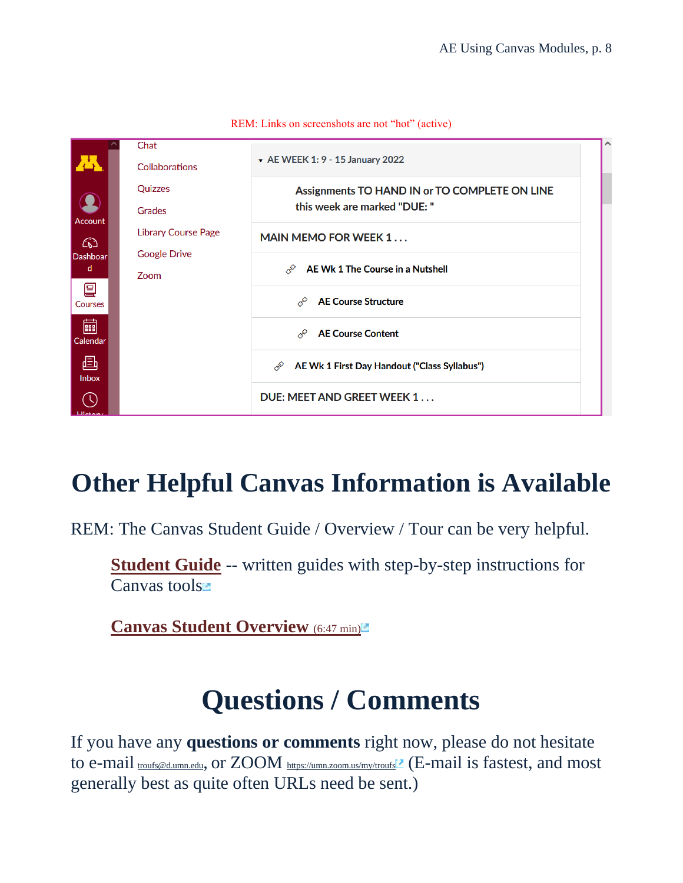

## <span id="page-7-0"></span>**Other Helpful Canvas Information is Available**

REM: The Canvas Student Guide / Overview / Tour can be very helpful.

**[Student Guide](https://community.canvaslms.com/docs/DOC-10701)** -- written guides with step-by-step instructions for Canvas tools<sup>n</sup>

<span id="page-7-1"></span>**[Canvas Student Overview](https://community.canvaslms.com/videos/1124-canvas-overview-students) [\(6:47 min\)](https://community.canvaslms.com/videos/1124-canvas-overview-students)** 

# **Questions / Comments**

If you have any **questions or comments** right now, please do not hesitate to e-mail **[troufs@d.umn.edu](mailto:troufs@d.umn.edu)**, or ZOOM <https://umn.zoom.us/my/troufs><sup>1</sup> (E-mail is fastest, and most generally best as quite often URLs need be sent.)